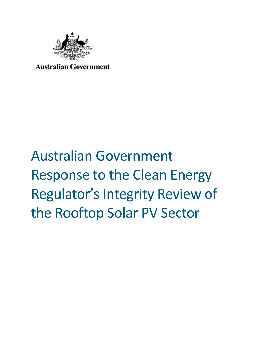

**Australian Government** 

## Australian Government Response to the Clean Energy Regulator's Integrity Review of the Rooftop Solar PV Sector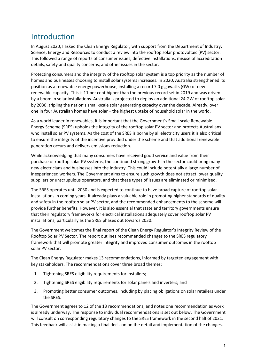## Introduction

In August 2020, I asked the Clean Energy Regulator, with support from the Department of Industry, Science, Energy and Resources to conduct a review into the rooftop solar photovoltaic (PV) sector. This followed a range of reports of consumer issues, defective installations, misuse of accreditation details, safety and quality concerns, and other issues in the sector.

Protecting consumers and the integrity of the rooftop solar system is a top priority as the number of homes and businesses choosing to install solar systems increases. In 2020, Australia strengthened its position as a renewable energy powerhouse, installing a record 7.0 gigawatts (GW) of new renewable capacity. This is 11 per cent higher than the previous record set in 2019 and was driven by a boom in solar installations. Australia is projected to deploy an additional 24 GW of rooftop solar by 2030, tripling the nation's small-scale solar generating capacity over the decade. Already, over one in four Australian homes have solar – the highest uptake of household solar in the world.

As a world leader in renewables, it is important that the Government's Small-scale Renewable Energy Scheme (SRES) upholds the integrity of the rooftop solar PV sector and protects Australians who install solar PV systems. As the cost of the SRES is borne by all electricity users it is also critical to ensure the integrity of the incentive provided under the scheme and that additional renewable generation occurs and delivers emissions reduction.

While acknowledging that many consumers have received good service and value from their purchase of rooftop solar PV systems, the continued strong growth in the sector could bring many new electricians and businesses into the industry. This could include potentially a large number of inexperienced workers. The Government aims to ensure such growth does not attract lower quality suppliers or unscrupulous operators, and that these types of issues are eliminated or minimised.

The SRES operates until 2030 and is expected to continue to have broad capture of rooftop solar installations in coming years. It already plays a valuable role in promoting higher standards of quality and safety in the rooftop solar PV sector, and the recommended enhancements to the scheme will provide further benefits. However, it is also essential that state and territory governments ensure that their regulatory frameworks for electrical installations adequately cover rooftop solar PV installations, particularly as the SRES phases out towards 2030.

The Government welcomes the final report of the Clean Energy Regulator's Integrity Review of the Rooftop Solar PV Sector. The report outlines recommended changes to the SRES regulatory framework that will promote greater integrity and improved consumer outcomes in the rooftop solar PV sector.

The Clean Energy Regulator makes 13 recommendations, informed by targeted engagement with key stakeholders. The recommendations cover three broad themes:

- 1. Tightening SRES eligibility requirements for installers;
- 2. Tightening SRES eligibility requirements for solar panels and inverters; and
- 3. Promoting better consumer outcomes, including by placing obligations on solar retailers under the SRES.

The Government agrees to 12 of the 13 recommendations, and notes one recommendation as work is already underway. The response to individual recommendations is set out below. The Government will consult on corresponding regulatory changes to the SRES framework in the second half of 2021. This feedback will assist in making a final decision on the detail and implementation of the changes.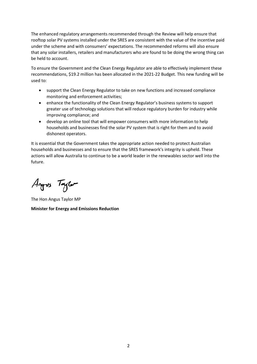The enhanced regulatory arrangements recommended through the Review will help ensure that rooftop solar PV systems installed under the SRES are consistent with the value of the incentive paid under the scheme and with consumers' expectations. The recommended reforms will also ensure that any solar installers, retailers and manufacturers who are found to be doing the wrong thing can be held to account.

To ensure the Government and the Clean Energy Regulator are able to effectively implement these recommendations, \$19.2 million has been allocated in the 2021-22 Budget. This new funding will be used to:

- support the Clean Energy Regulator to take on new functions and increased compliance monitoring and enforcement activities;
- enhance the functionality of the Clean Energy Regulator's business systems to support greater use of technology solutions that will reduce regulatory burden for industry while improving compliance; and
- develop an online tool that will empower consumers with more information to help households and businesses find the solar PV system that is right for them and to avoid dishonest operators.

It is essential that the Government takes the appropriate action needed to protect Australian households and businesses and to ensure that the SRES framework's integrity is upheld. These actions will allow Australia to continue to be a world leader in the renewables sector well into the future.

Angres Taylor

The Hon Angus Taylor MP **Minister for Energy and Emissions Reduction**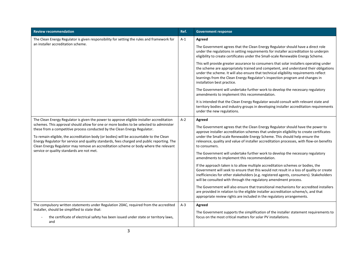| <b>Review recommendation</b>                                                                                                                                                                                                                                                                                                                                                                                                                                                                                                                                                                    | Ref.  | <b>Government response</b>                                                                                                                                                                                                                                                                                                                                                              |
|-------------------------------------------------------------------------------------------------------------------------------------------------------------------------------------------------------------------------------------------------------------------------------------------------------------------------------------------------------------------------------------------------------------------------------------------------------------------------------------------------------------------------------------------------------------------------------------------------|-------|-----------------------------------------------------------------------------------------------------------------------------------------------------------------------------------------------------------------------------------------------------------------------------------------------------------------------------------------------------------------------------------------|
| The Clean Energy Regulator is given responsibility for setting the rules and framework for<br>an installer accreditation scheme.                                                                                                                                                                                                                                                                                                                                                                                                                                                                | $A-1$ | Agreed                                                                                                                                                                                                                                                                                                                                                                                  |
|                                                                                                                                                                                                                                                                                                                                                                                                                                                                                                                                                                                                 |       | The Government agrees that the Clean Energy Regulator should have a direct role<br>under the regulations in setting requirements for installer accreditation to underpin<br>eligibility to create certificates under the Small-scale Renewable Energy Scheme.                                                                                                                           |
|                                                                                                                                                                                                                                                                                                                                                                                                                                                                                                                                                                                                 |       | This will provide greater assurance to consumers that solar installers operating under<br>the scheme are appropriately trained and competent, and understand their obligations<br>under the scheme. It will also ensure that technical eligibility requirements reflect<br>learnings from the Clean Energy Regulator's inspection program and changes in<br>installation best practice. |
|                                                                                                                                                                                                                                                                                                                                                                                                                                                                                                                                                                                                 |       | The Government will undertake further work to develop the necessary regulatory<br>amendments to implement this recommendation.                                                                                                                                                                                                                                                          |
|                                                                                                                                                                                                                                                                                                                                                                                                                                                                                                                                                                                                 |       | It is intended that the Clean Energy Regulator would consult with relevant state and<br>territory bodies and industry groups in developing installer accreditation requirements<br>under the new regulations.                                                                                                                                                                           |
| The Clean Energy Regulator is given the power to approve eligible installer accreditation<br>schemes. This approval should allow for one or more bodies to be selected to administer<br>these from a competitive process conducted by the Clean Energy Regulator.<br>To remain eligible, the accreditation body (or bodies) will be accountable to the Clean<br>Energy Regulator for service and quality standards, fees charged and public reporting. The<br>Clean Energy Regulator may remove an accreditation scheme or body where the relevant<br>service or quality standards are not met. | $A-2$ | Agreed                                                                                                                                                                                                                                                                                                                                                                                  |
|                                                                                                                                                                                                                                                                                                                                                                                                                                                                                                                                                                                                 |       | The Government agrees that the Clean Energy Regulator should have the power to<br>approve installer accreditation schemes that underpin eligibility to create certificates<br>under the Small-scale Renewable Energy Scheme. This should help ensure the<br>relevance, quality and value of installer accreditation processes, with flow-on benefits<br>to consumers.                   |
|                                                                                                                                                                                                                                                                                                                                                                                                                                                                                                                                                                                                 |       | The Government will undertake further work to develop the necessary regulatory<br>amendments to implement this recommendation.                                                                                                                                                                                                                                                          |
|                                                                                                                                                                                                                                                                                                                                                                                                                                                                                                                                                                                                 |       | If the approach taken is to allow multiple accreditation schemes or bodies, the<br>Government will seek to ensure that this would not result in a loss of quality or create<br>inefficiencies for other stakeholders (e.g. registered agents, consumers). Stakeholders<br>will be consulted with through the regulatory amendment process.                                              |
|                                                                                                                                                                                                                                                                                                                                                                                                                                                                                                                                                                                                 |       | The Government will also ensure that transitional mechanisms for accredited installers<br>are provided in relation to the eligible installer accreditation scheme/s, and that<br>appropriate review rights are included in the regulatory arrangements.                                                                                                                                 |
| The compulsory written statements under Regulation 20AC, required from the accredited                                                                                                                                                                                                                                                                                                                                                                                                                                                                                                           | $A-3$ | Agreed                                                                                                                                                                                                                                                                                                                                                                                  |
| installer, should be simplified to state that:<br>the certificate of electrical safety has been issued under state or territory laws,<br>and                                                                                                                                                                                                                                                                                                                                                                                                                                                    |       | The Government supports the simplification of the installer statement requirements to<br>focus on the most critical matters for solar PV installations.                                                                                                                                                                                                                                 |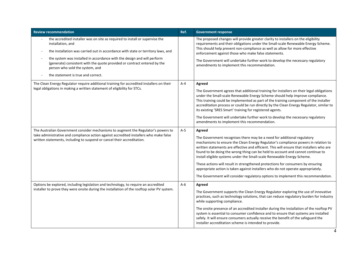| <b>Review recommendation</b>                                                                                                                                                                                                                                                                                                                                                                                          | Ref.    | <b>Government response</b>                                                                                                                                                                                                                                                                                                                                                                                                                                                                                                                                 |
|-----------------------------------------------------------------------------------------------------------------------------------------------------------------------------------------------------------------------------------------------------------------------------------------------------------------------------------------------------------------------------------------------------------------------|---------|------------------------------------------------------------------------------------------------------------------------------------------------------------------------------------------------------------------------------------------------------------------------------------------------------------------------------------------------------------------------------------------------------------------------------------------------------------------------------------------------------------------------------------------------------------|
| the accredited installer was on site as required to install or supervise the<br>installation, and<br>the installation was carried out in accordance with state or territory laws, and<br>the system was installed in accordance with the design and will perform<br>(generate) consistent with the quote provided or contract entered by the<br>person who sold the system, and<br>the statement is true and correct. |         | The proposed changes will provide greater clarity to installers on the eligibility<br>requirements and their obligations under the Small-scale Renewable Energy Scheme.<br>This should help prevent non-compliance as well as allow for more effective<br>enforcement against those who make false statements.<br>The Government will undertake further work to develop the necessary regulatory<br>amendments to implement this recommendation.                                                                                                           |
| The Clean Energy Regulator require additional training for accredited installers on their                                                                                                                                                                                                                                                                                                                             | $A - 4$ | Agreed                                                                                                                                                                                                                                                                                                                                                                                                                                                                                                                                                     |
| legal obligations in making a written statement of eligibility for STCs.                                                                                                                                                                                                                                                                                                                                              |         | The Government agrees that additional training for installers on their legal obligations<br>under the Small-scale Renewable Energy Scheme should help improve compliance.<br>This training could be implemented as part of the training component of the installer<br>accreditation process or could be run directly by the Clean Energy Regulator, similar to<br>its existing 'SRES Smart' training for registered agents.<br>The Government will undertake further work to develop the necessary regulatory                                              |
|                                                                                                                                                                                                                                                                                                                                                                                                                       |         | amendments to implement this recommendation.                                                                                                                                                                                                                                                                                                                                                                                                                                                                                                               |
| The Australian Government consider mechanisms to augment the Regulator's powers to<br>take administrative and compliance action against accredited installers who make false<br>written statements, including to suspend or cancel their accreditation.                                                                                                                                                               | $A-5$   | Agreed                                                                                                                                                                                                                                                                                                                                                                                                                                                                                                                                                     |
|                                                                                                                                                                                                                                                                                                                                                                                                                       |         | The Government recognises there may be a need for additional regulatory<br>mechanisms to ensure the Clean Energy Regulator's compliance powers in relation to<br>written statements are effective and efficient. This will ensure that installers who are<br>found to be doing the wrong thing can be held to account and cannot continue to<br>install eligible systems under the Small-scale Renewable Energy Scheme.                                                                                                                                    |
|                                                                                                                                                                                                                                                                                                                                                                                                                       |         | These actions will result in strengthened protections for consumers by ensuring<br>appropriate action is taken against installers who do not operate appropriately.                                                                                                                                                                                                                                                                                                                                                                                        |
|                                                                                                                                                                                                                                                                                                                                                                                                                       |         | The Government will consider regulatory options to implement this recommendation.                                                                                                                                                                                                                                                                                                                                                                                                                                                                          |
| Options be explored, including legislation and technology, to require an accredited<br>installer to prove they were onsite during the installation of the rooftop solar PV system.                                                                                                                                                                                                                                    | $A-6$   | Agreed<br>The Government supports the Clean Energy Regulator exploring the use of innovative<br>practices, such as technology solutions, that can reduce regulatory burden for industry<br>while supporting compliance.<br>The onsite presence of an accredited installer during the installation of the rooftop PV<br>system is essential to consumer confidence and to ensure that systems are installed<br>safely. It will ensure consumers actually receive the benefit of the safeguard the<br>installer accreditation scheme is intended to provide. |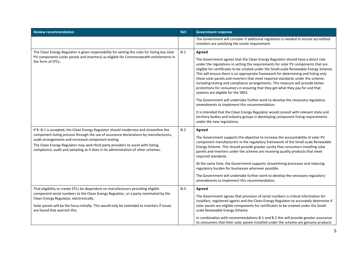| <b>Review recommendation</b>                                                                                                                                                                                                                                                                                                                                                                                    | Ref.  | <b>Government response</b>                                                                                                                                                                                                                                                                                                                                                                                                                                                                                                                                                                                                                           |
|-----------------------------------------------------------------------------------------------------------------------------------------------------------------------------------------------------------------------------------------------------------------------------------------------------------------------------------------------------------------------------------------------------------------|-------|------------------------------------------------------------------------------------------------------------------------------------------------------------------------------------------------------------------------------------------------------------------------------------------------------------------------------------------------------------------------------------------------------------------------------------------------------------------------------------------------------------------------------------------------------------------------------------------------------------------------------------------------------|
|                                                                                                                                                                                                                                                                                                                                                                                                                 |       | The Government will consider if additional regulation is needed to ensure accredited<br>installers are satisfying the onsite requirement.                                                                                                                                                                                                                                                                                                                                                                                                                                                                                                            |
| The Clean Energy Regulator is given responsibility for setting the rules for listing key solar<br>PV components (solar panels and inverters) as eligible for Commonwealth entitlements in<br>the form of STCs.                                                                                                                                                                                                  | $B-1$ | Agreed                                                                                                                                                                                                                                                                                                                                                                                                                                                                                                                                                                                                                                               |
|                                                                                                                                                                                                                                                                                                                                                                                                                 |       | The Government agrees that the Clean Energy Regulator should have a direct role<br>under the regulations in setting the requirements for solar PV components that are<br>eligible for certificates to be created under the Small-scale Renewable Energy Scheme.<br>This will ensure there is an appropriate framework for determining and listing only<br>those solar panels and inverters that meet required standards under the scheme,<br>including testing and compliance arrangements. This measure will provide better<br>protections for consumers in ensuring that they get what they pay for and that<br>systems are eligible for the SRES. |
|                                                                                                                                                                                                                                                                                                                                                                                                                 |       | The Government will undertake further work to develop the necessary regulatory<br>amendments to implement this recommendation.                                                                                                                                                                                                                                                                                                                                                                                                                                                                                                                       |
|                                                                                                                                                                                                                                                                                                                                                                                                                 |       | It is intended that the Clean Energy Regulator would consult with relevant state and<br>territory bodies and industry groups in developing component listing requirements<br>under the new regulations.                                                                                                                                                                                                                                                                                                                                                                                                                                              |
| If R. B-1 is accepted, the Clean Energy Regulator should modernise and streamline the<br>component listing process through the use of assurance declarations by manufacturers,<br>audit arrangements and increased component testing.<br>The Clean Energy Regulator may seek third party providers to assist with listing,<br>compliance, audit and sampling as it does in its administration of other schemes. | $B-2$ | Agreed                                                                                                                                                                                                                                                                                                                                                                                                                                                                                                                                                                                                                                               |
|                                                                                                                                                                                                                                                                                                                                                                                                                 |       | The Government supports the objective to increase the accountability of solar PV<br>component manufacturers in the regulatory framework of the Small-scale Renewable<br>Energy Scheme. This should provide greater surety that consumers installing solar<br>panels and inverters under the scheme are receiving quality products that meet<br>required standards.                                                                                                                                                                                                                                                                                   |
|                                                                                                                                                                                                                                                                                                                                                                                                                 |       | At the same time, the Government supports streamlining processes and reducing<br>regulatory burden for businesses wherever possible.                                                                                                                                                                                                                                                                                                                                                                                                                                                                                                                 |
|                                                                                                                                                                                                                                                                                                                                                                                                                 |       | The Government will undertake further work to develop the necessary regulatory<br>amendments to implement this recommendation.                                                                                                                                                                                                                                                                                                                                                                                                                                                                                                                       |
| That eligibility to create STCs be dependent on manufacturers providing eligible<br>component serial numbers to the Clean Energy Regulator, or a party nominated by the<br>Clean Energy Regulator, electronically.<br>Solar panels will be the focus initially. This would only be extended to inverters if issues<br>are found that warrant this.                                                              | $B-3$ | Agreed                                                                                                                                                                                                                                                                                                                                                                                                                                                                                                                                                                                                                                               |
|                                                                                                                                                                                                                                                                                                                                                                                                                 |       | The Government agrees that provision of serial numbers is critical information for<br>installers, registered agents and the Clean Energy Regulator to accurately determine if                                                                                                                                                                                                                                                                                                                                                                                                                                                                        |
|                                                                                                                                                                                                                                                                                                                                                                                                                 |       | solar panels are eligible components for certificates to be created under the Small-<br>scale Renewable Energy Scheme.                                                                                                                                                                                                                                                                                                                                                                                                                                                                                                                               |
|                                                                                                                                                                                                                                                                                                                                                                                                                 |       | In combination with recommendations B-1 and B-2 this will provide greater assurance<br>to consumers that their solar panels installed under the scheme are genuine products                                                                                                                                                                                                                                                                                                                                                                                                                                                                          |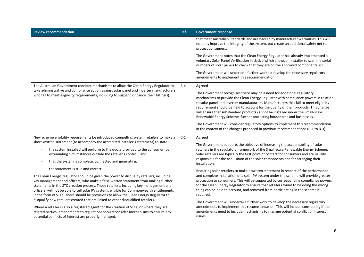| <b>Review recommendation</b>                                                                                                                                                                                                                                                                                                                                                                                                                                                                                                                         | Ref.  | <b>Government response</b>                                                                                                                                                                                                                                                                                                                                                                                                                                                                                                                                                                                                                                                                                                 |
|------------------------------------------------------------------------------------------------------------------------------------------------------------------------------------------------------------------------------------------------------------------------------------------------------------------------------------------------------------------------------------------------------------------------------------------------------------------------------------------------------------------------------------------------------|-------|----------------------------------------------------------------------------------------------------------------------------------------------------------------------------------------------------------------------------------------------------------------------------------------------------------------------------------------------------------------------------------------------------------------------------------------------------------------------------------------------------------------------------------------------------------------------------------------------------------------------------------------------------------------------------------------------------------------------------|
|                                                                                                                                                                                                                                                                                                                                                                                                                                                                                                                                                      |       | that meet Australian Standards and are backed by manufacturer warranties. This will<br>not only improve the integrity of the system, but create an additional safety net to<br>protect consumers.                                                                                                                                                                                                                                                                                                                                                                                                                                                                                                                          |
|                                                                                                                                                                                                                                                                                                                                                                                                                                                                                                                                                      |       | The Government notes that the Clean Energy Regulator has already implemented a<br>voluntary Solar Panel Verification initiative which allows an installer to scan the serial<br>numbers of solar panels to check that they are on the approved components list.                                                                                                                                                                                                                                                                                                                                                                                                                                                            |
|                                                                                                                                                                                                                                                                                                                                                                                                                                                                                                                                                      |       | The Government will undertake further work to develop the necessary regulatory<br>amendments to implement this recommendation.                                                                                                                                                                                                                                                                                                                                                                                                                                                                                                                                                                                             |
| The Australian Government consider mechanisms to allow the Clean Energy Regulator to<br>take administrative and compliance action against solar panel and inverter manufacturers<br>who fail to meet eligibility requirements, including to suspend or cancel their listing(s).                                                                                                                                                                                                                                                                      | $B-4$ | Agreed                                                                                                                                                                                                                                                                                                                                                                                                                                                                                                                                                                                                                                                                                                                     |
|                                                                                                                                                                                                                                                                                                                                                                                                                                                                                                                                                      |       | The Government recognises there may be a need for additional regulatory<br>mechanisms to provide the Clean Energy Regulator with compliance powers in relation<br>to solar panel and inverter manufacturers. Manufacturers that fail to meet eligibility<br>requirement should be held to account for the quality of their products. This change<br>will ensure that substandard products cannot be installed under the Small-scale<br>Renewable Energy Scheme, further protecting households and businesses.                                                                                                                                                                                                              |
|                                                                                                                                                                                                                                                                                                                                                                                                                                                                                                                                                      |       | The Government will consider regulatory options to implement this recommendation<br>in the context of the changes proposed in previous recommendations (B-1 to B-3).                                                                                                                                                                                                                                                                                                                                                                                                                                                                                                                                                       |
| New scheme eligibility requirements be introduced compelling system retailers to make a<br>short-written statement (to accompany the accredited installer's statement) to state:                                                                                                                                                                                                                                                                                                                                                                     | $C-1$ | Agreed                                                                                                                                                                                                                                                                                                                                                                                                                                                                                                                                                                                                                                                                                                                     |
| the system installed will perform to the quote provided to the consumer (bar<br>extenuating circumstances outside the retailer's control), and                                                                                                                                                                                                                                                                                                                                                                                                       |       | The Government supports the objective of increasing the accountability of solar<br>retailers in the regulatory framework of the Small-scale Renewable Energy Scheme.<br>Solar retailers are typically the first point of contact for consumers and are usually<br>responsible for the acquisition of the solar components and for arranging their<br>installation.                                                                                                                                                                                                                                                                                                                                                         |
| that the system is complete, connected and generating.                                                                                                                                                                                                                                                                                                                                                                                                                                                                                               |       |                                                                                                                                                                                                                                                                                                                                                                                                                                                                                                                                                                                                                                                                                                                            |
| the statement is true and correct.                                                                                                                                                                                                                                                                                                                                                                                                                                                                                                                   |       | Requiring solar retailers to make a written statement in respect of the performance<br>and complete installation of a solar PV system under the scheme will provide greater<br>protection to consumers. This will be supported by corresponding compliance powers<br>for the Clean Energy Regulator to ensure that retailers found to be doing the wrong<br>thing can be held to account, and removed from participating in the scheme if<br>required.<br>The Government will undertake further work to develop the necessary regulatory<br>amendments to implement this recommendation. This will include considering if the<br>amendments need to include mechanisms to manage potential conflict of interest<br>issues. |
| The Clean Energy Regulator should be given the power to disqualify retailers, including<br>key management and officers, who make a false written statement from making further<br>statements in the STC creation process. Those retailers, including key management and<br>officers, will not be able to sell solar PV systems eligible for Commonwealth entitlements<br>in the form of STCs. There should be provisions to allow the Clean Energy Regulator to<br>disqualify new retailers created that are linked to other disqualified retailers. |       |                                                                                                                                                                                                                                                                                                                                                                                                                                                                                                                                                                                                                                                                                                                            |
| Where a retailer is also a registered agent for the creation of STCs, or where they are<br>related parties, amendments to regulations should consider mechanisms to ensure any<br>potential conflicts of interest are properly managed.                                                                                                                                                                                                                                                                                                              |       |                                                                                                                                                                                                                                                                                                                                                                                                                                                                                                                                                                                                                                                                                                                            |